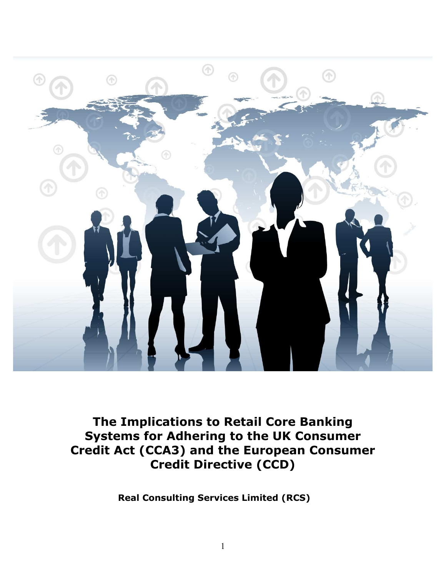

**The Implications to Retail Core Banking Systems for Adhering to the UK Consumer Credit Act (CCA3) and the European Consumer Credit Directive (CCD)** 

**Real Consulting Services Limited (RCS)**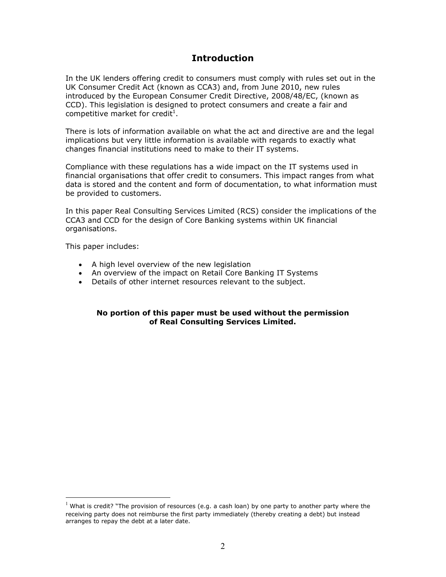## **Introduction**

In the UK lenders offering credit to consumers must comply with rules set out in the UK Consumer Credit Act (known as CCA3) and, from June 2010, new rules introduced by the European Consumer Credit Directive, 2008/48/EC, (known as CCD). This legislation is designed to protect consumers and create a fair and competitive market for credit<sup>1</sup>.

There is lots of information available on what the act and directive are and the legal implications but very little information is available with regards to exactly what changes financial institutions need to make to their IT systems.

Compliance with these regulations has a wide impact on the IT systems used in financial organisations that offer credit to consumers. This impact ranges from what data is stored and the content and form of documentation, to what information must be provided to customers.

In this paper Real Consulting Services Limited (RCS) consider the implications of the CCA3 and CCD for the design of Core Banking systems within UK financial organisations.

This paper includes:

 $\overline{a}$ 

- A high level overview of the new legislation
- An overview of the impact on Retail Core Banking IT Systems
- Details of other internet resources relevant to the subject.

### **No portion of this paper must be used without the permission of Real Consulting Services Limited.**

 $1$  What is credit? "The provision of resources (e.g. a cash loan) by one party to another party where the receiving party does not reimburse the first party immediately (thereby creating a debt) but instead arranges to repay the debt at a later date.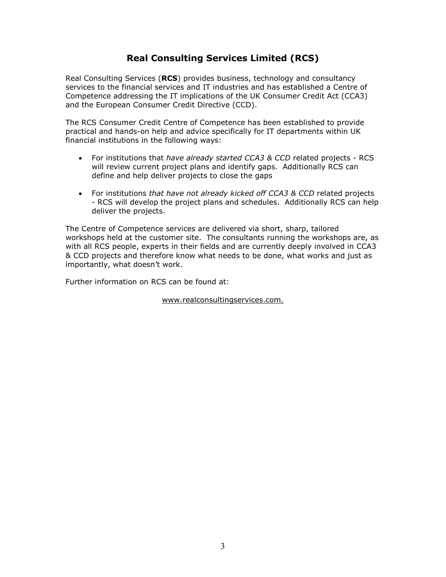# **Real Consulting Services Limited (RCS)**

Real Consulting Services (**RCS**) provides business, technology and consultancy services to the financial services and IT industries and has established a Centre of Competence addressing the IT implications of the UK Consumer Credit Act (CCA3) and the European Consumer Credit Directive (CCD).

The RCS Consumer Credit Centre of Competence has been established to provide practical and hands-on help and advice specifically for IT departments within UK financial institutions in the following ways:

- For institutions that *have already started CCA3 & CCD* related projects RCS will review current project plans and identify gaps. Additionally RCS can define and help deliver projects to close the gaps
- For institutions *that have not already kicked off CCA3 & CCD* related projects - RCS will develop the project plans and schedules. Additionally RCS can help deliver the projects.

The Centre of Competence services are delivered via short, sharp, tailored workshops held at the customer site. The consultants running the workshops are, as with all RCS people, experts in their fields and are currently deeply involved in CCA3 & CCD projects and therefore know what needs to be done, what works and just as importantly, what doesn't work.

Further information on RCS can be found at:

www.realconsultingservices.com.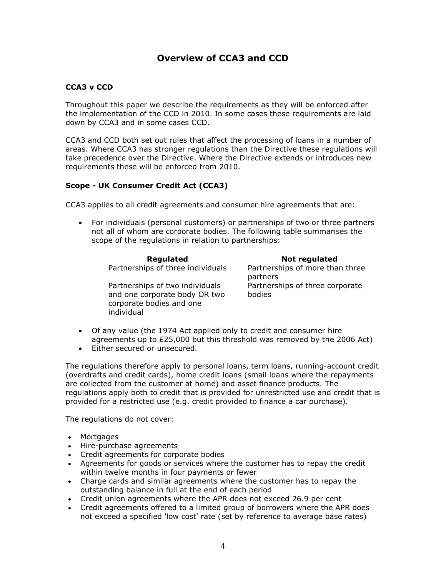# **Overview of CCA3 and CCD**

## **CCA3 v CCD**

Throughout this paper we describe the requirements as they will be enforced after the implementation of the CCD in 2010. In some cases these requirements are laid down by CCA3 and in some cases CCD.

CCA3 and CCD both set out rules that affect the processing of loans in a number of areas. Where CCA3 has stronger regulations than the Directive these regulations will take precedence over the Directive. Where the Directive extends or introduces new requirements these will be enforced from 2010.

## **Scope - UK Consumer Credit Act (CCA3)**

CCA3 applies to all credit agreements and consumer hire agreements that are:

• For individuals (personal customers) or partnerships of two or three partners not all of whom are corporate bodies. The following table summarises the scope of the regulations in relation to partnerships:

| Regulated                                                                                                  | Not regulated                               |
|------------------------------------------------------------------------------------------------------------|---------------------------------------------|
| Partnerships of three individuals                                                                          | Partnerships of more than three<br>partners |
| Partnerships of two individuals<br>and one corporate body OR two<br>corporate bodies and one<br>individual | Partnerships of three corporate<br>bodies   |

- Of any value (the 1974 Act applied only to credit and consumer hire agreements up to £25,000 but this threshold was removed by the 2006 Act)
- Either secured or unsecured.

The regulations therefore apply to personal loans, term loans, running-account credit (overdrafts and credit cards), home credit loans (small loans where the repayments are collected from the customer at home) and asset finance products. The regulations apply both to credit that is provided for unrestricted use and credit that is provided for a restricted use (e.g. credit provided to finance a car purchase).

The regulations do not cover:

- Mortgages
- Hire-purchase agreements
- Credit agreements for corporate bodies
- Agreements for goods or services where the customer has to repay the credit within twelve months in four payments or fewer
- Charge cards and similar agreements where the customer has to repay the outstanding balance in full at the end of each period
- Credit union agreements where the APR does not exceed 26.9 per cent
- Credit agreements offered to a limited group of borrowers where the APR does not exceed a specified 'low cost' rate (set by reference to average base rates)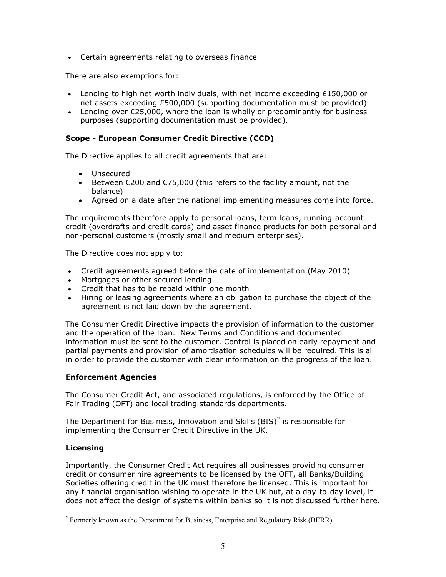• Certain agreements relating to overseas finance

There are also exemptions for:

- Lending to high net worth individuals, with net income exceeding  $£150,000$  or net assets exceeding £500,000 (supporting documentation must be provided)
- Lending over £25,000, where the loan is wholly or predominantly for business purposes (supporting documentation must be provided).

## **Scope - European Consumer Credit Directive (CCD)**

The Directive applies to all credit agreements that are:

- Unsecured
- Between €200 and €75,000 (this refers to the facility amount, not the balance)
- Agreed on a date after the national implementing measures come into force.

The requirements therefore apply to personal loans, term loans, running-account credit (overdrafts and credit cards) and asset finance products for both personal and non-personal customers (mostly small and medium enterprises).

The Directive does not apply to:

- Credit agreements agreed before the date of implementation (May 2010)
- Mortgages or other secured lending
- Credit that has to be repaid within one month
- Hiring or leasing agreements where an obligation to purchase the object of the agreement is not laid down by the agreement.

The Consumer Credit Directive impacts the provision of information to the customer and the operation of the loan. New Terms and Conditions and documented information must be sent to the customer. Control is placed on early repayment and partial payments and provision of amortisation schedules will be required. This is all in order to provide the customer with clear information on the progress of the loan.

### **Enforcement Agencies**

The Consumer Credit Act, and associated regulations, is enforced by the Office of Fair Trading (OFT) and local trading standards departments.

The Department for Business, Innovation and Skills (BIS)<sup>2</sup> is responsible for implementing the Consumer Credit Directive in the UK.

### **Licensing**

 $\overline{a}$ 

Importantly, the Consumer Credit Act requires all businesses providing consumer credit or consumer hire agreements to be licensed by the OFT, all Banks/Building Societies offering credit in the UK must therefore be licensed. This is important for any financial organisation wishing to operate in the UK but, at a day-to-day level, it does not affect the design of systems within banks so it is not discussed further here.

 $2^2$  Formerly known as the Department for Business, Enterprise and Regulatory Risk (BERR).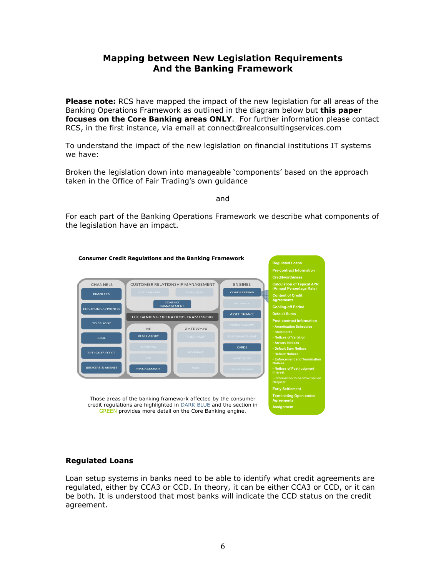# **Mapping between New Legislation Requirements And the Banking Framework**

**Please note:** RCS have mapped the impact of the new legislation for all areas of the Banking Operations Framework as outlined in the diagram below but **this paper focuses on the Core Banking areas ONLY**. For further information please contact RCS, in the first instance, via email at connect@realconsultingservices.com

To understand the impact of the new legislation on financial institutions IT systems we have:

Broken the legislation down into manageable 'components' based on the approach taken in the Office of Fair Trading's own guidance

and

For each part of the Banking Operations Framework we describe what components of the legislation have an impact.



## **Regulated Loans**

Loan setup systems in banks need to be able to identify what credit agreements are regulated, either by CCA3 or CCD. In theory, it can be either CCA3 or CCD, or it can be both. It is understood that most banks will indicate the CCD status on the credit agreement.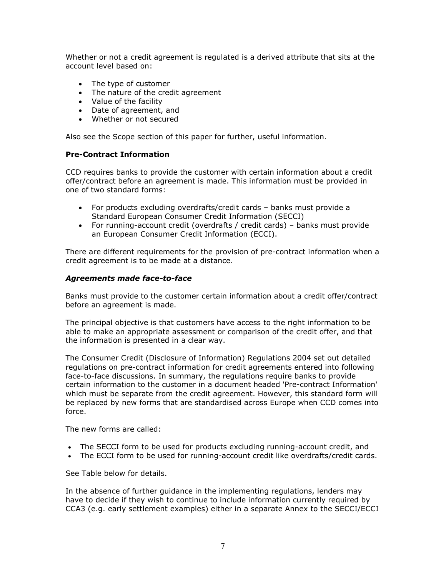Whether or not a credit agreement is regulated is a derived attribute that sits at the account level based on:

- The type of customer
- The nature of the credit agreement
- Value of the facility
- Date of agreement, and
- Whether or not secured

Also see the Scope section of this paper for further, useful information.

## **Pre-Contract Information**

CCD requires banks to provide the customer with certain information about a credit offer/contract before an agreement is made. This information must be provided in one of two standard forms:

- For products excluding overdrafts/credit cards banks must provide a Standard European Consumer Credit Information (SECCI)
- For running-account credit (overdrafts / credit cards) banks must provide an European Consumer Credit Information (ECCI).

There are different requirements for the provision of pre-contract information when a credit agreement is to be made at a distance.

## *Agreements made face-to-face*

Banks must provide to the customer certain information about a credit offer/contract before an agreement is made.

The principal objective is that customers have access to the right information to be able to make an appropriate assessment or comparison of the credit offer, and that the information is presented in a clear way.

The Consumer Credit (Disclosure of Information) Regulations 2004 set out detailed regulations on pre-contract information for credit agreements entered into following face-to-face discussions. In summary, the regulations require banks to provide certain information to the customer in a document headed 'Pre-contract Information' which must be separate from the credit agreement. However, this standard form will be replaced by new forms that are standardised across Europe when CCD comes into force.

The new forms are called:

- The SECCI form to be used for products excluding running-account credit, and
- The ECCI form to be used for running-account credit like overdrafts/credit cards.

See Table below for details.

In the absence of further guidance in the implementing regulations, lenders may have to decide if they wish to continue to include information currently required by CCA3 (e.g. early settlement examples) either in a separate Annex to the SECCI/ECCI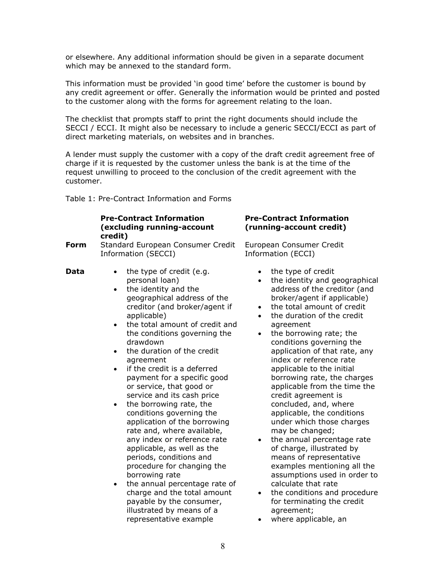or elsewhere. Any additional information should be given in a separate document which may be annexed to the standard form.

This information must be provided 'in good time' before the customer is bound by any credit agreement or offer. Generally the information would be printed and posted to the customer along with the forms for agreement relating to the loan.

The checklist that prompts staff to print the right documents should include the SECCI / ECCI. It might also be necessary to include a generic SECCI/ECCI as part of direct marketing materials, on websites and in branches.

A lender must supply the customer with a copy of the draft credit agreement free of charge if it is requested by the customer unless the bank is at the time of the request unwilling to proceed to the conclusion of the credit agreement with the customer.

Table 1: Pre-Contract Information and Forms

**Pre-Contract Information (excluding running-account credit)** 

**Form** Standard European Consumer Credit European Consumer Credit Information (SECCI)

- **Data** the type of credit (e.g. personal loan)
	- the identity and the geographical address of the creditor (and broker/agent if applicable)
	- the total amount of credit and the conditions governing the drawdown
	- the duration of the credit agreement
	- if the credit is a deferred payment for a specific good or service, that good or service and its cash price
	- the borrowing rate, the conditions governing the application of the borrowing rate and, where available, any index or reference rate applicable, as well as the periods, conditions and procedure for changing the borrowing rate
	- the annual percentage rate of charge and the total amount payable by the consumer, illustrated by means of a representative example

## **Pre-Contract Information (running-account credit)**

Information (ECCI)

- the type of credit
- the identity and geographical address of the creditor (and broker/agent if applicable)
- the total amount of credit
- the duration of the credit agreement
- the borrowing rate; the conditions governing the application of that rate, any index or reference rate applicable to the initial borrowing rate, the charges applicable from the time the credit agreement is concluded, and, where applicable, the conditions under which those charges may be changed;
- the annual percentage rate of charge, illustrated by means of representative examples mentioning all the assumptions used in order to calculate that rate
- the conditions and procedure for terminating the credit agreement;
- where applicable, an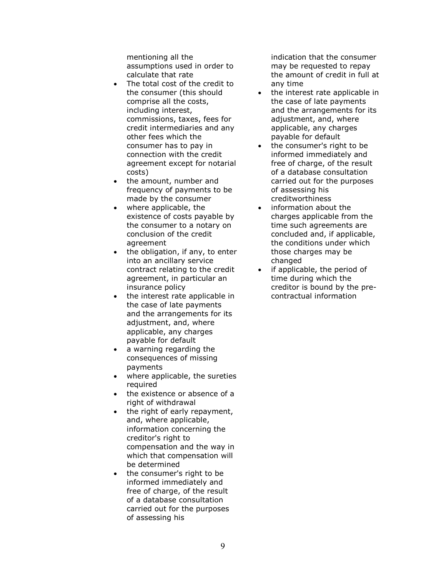mentioning all the assumptions used in order to calculate that rate

- The total cost of the credit to the consumer (this should comprise all the costs, including interest, commissions, taxes, fees for credit intermediaries and any other fees which the consumer has to pay in connection with the credit agreement except for notarial costs)
- the amount, number and frequency of payments to be made by the consumer
- where applicable, the existence of costs payable by the consumer to a notary on conclusion of the credit agreement
- the obligation, if any, to enter into an ancillary service contract relating to the credit agreement, in particular an insurance policy
- the interest rate applicable in the case of late payments and the arrangements for its adjustment, and, where applicable, any charges payable for default
- a warning regarding the consequences of missing payments
- where applicable, the sureties required
- the existence or absence of a right of withdrawal
- the right of early repayment, and, where applicable, information concerning the creditor's right to compensation and the way in which that compensation will be determined
- the consumer's right to be informed immediately and free of charge, of the result of a database consultation carried out for the purposes of assessing his

indication that the consumer may be requested to repay the amount of credit in full at any time

- the interest rate applicable in the case of late payments and the arrangements for its adjustment, and, where applicable, any charges payable for default
- the consumer's right to be informed immediately and free of charge, of the result of a database consultation carried out for the purposes of assessing his creditworthiness
- information about the charges applicable from the time such agreements are concluded and, if applicable, the conditions under which those charges may be changed
- if applicable, the period of time during which the creditor is bound by the precontractual information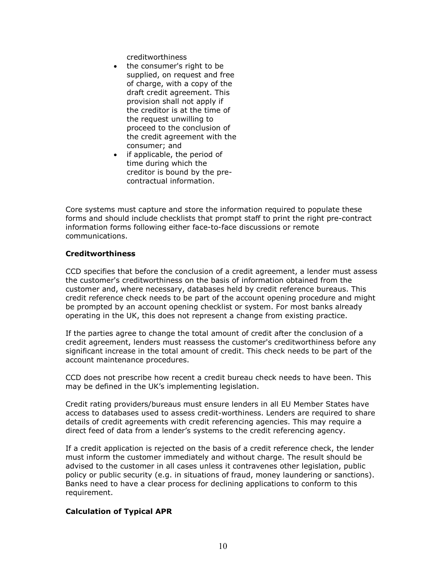creditworthiness

- the consumer's right to be supplied, on request and free of charge, with a copy of the draft credit agreement. This provision shall not apply if the creditor is at the time of the request unwilling to proceed to the conclusion of the credit agreement with the consumer; and
- if applicable, the period of time during which the creditor is bound by the precontractual information.

Core systems must capture and store the information required to populate these forms and should include checklists that prompt staff to print the right pre-contract information forms following either face-to-face discussions or remote communications.

## **Creditworthiness**

CCD specifies that before the conclusion of a credit agreement, a lender must assess the customer's creditworthiness on the basis of information obtained from the customer and, where necessary, databases held by credit reference bureaus. This credit reference check needs to be part of the account opening procedure and might be prompted by an account opening checklist or system. For most banks already operating in the UK, this does not represent a change from existing practice.

If the parties agree to change the total amount of credit after the conclusion of a credit agreement, lenders must reassess the customer's creditworthiness before any significant increase in the total amount of credit. This check needs to be part of the account maintenance procedures.

CCD does not prescribe how recent a credit bureau check needs to have been. This may be defined in the UK's implementing legislation.

Credit rating providers/bureaus must ensure lenders in all EU Member States have access to databases used to assess credit-worthiness. Lenders are required to share details of credit agreements with credit referencing agencies. This may require a direct feed of data from a lender's systems to the credit referencing agency.

If a credit application is rejected on the basis of a credit reference check, the lender must inform the customer immediately and without charge. The result should be advised to the customer in all cases unless it contravenes other legislation, public policy or public security (e.g. in situations of fraud, money laundering or sanctions). Banks need to have a clear process for declining applications to conform to this requirement.

## **Calculation of Typical APR**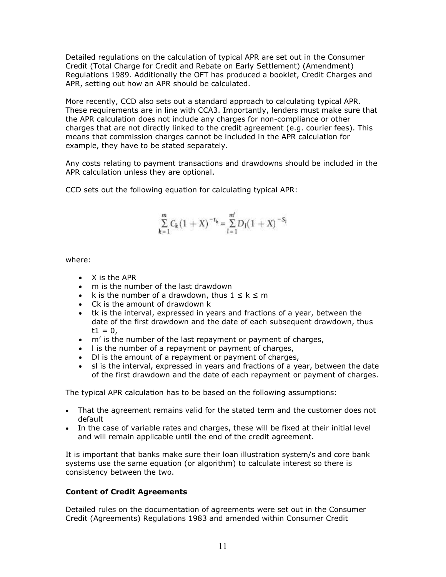Detailed regulations on the calculation of typical APR are set out in the Consumer Credit (Total Charge for Credit and Rebate on Early Settlement) (Amendment) Regulations 1989. Additionally the OFT has produced a booklet, Credit Charges and APR, setting out how an APR should be calculated.

More recently, CCD also sets out a standard approach to calculating typical APR. These requirements are in line with CCA3. Importantly, lenders must make sure that the APR calculation does not include any charges for non-compliance or other charges that are not directly linked to the credit agreement (e.g. courier fees). This means that commission charges cannot be included in the APR calculation for example, they have to be stated separately.

Any costs relating to payment transactions and drawdowns should be included in the APR calculation unless they are optional.

CCD sets out the following equation for calculating typical APR:

$$
\sum_{k=1}^{m} C_k (1+X)^{-t_k} = \sum_{l=1}^{m'} D_l (1+X)^{-S_l}
$$

where:

- X is the APR
- m is the number of the last drawdown
- k is the number of a drawdown, thus  $1 \leq k \leq m$
- Ck is the amount of drawdown k
- tk is the interval, expressed in years and fractions of a year, between the date of the first drawdown and the date of each subsequent drawdown, thus  $t1 = 0$ ,
- m' is the number of the last repayment or payment of charges,
- l is the number of a repayment or payment of charges,
- Dl is the amount of a repayment or payment of charges,
- sl is the interval, expressed in years and fractions of a year, between the date of the first drawdown and the date of each repayment or payment of charges.

The typical APR calculation has to be based on the following assumptions:

- That the agreement remains valid for the stated term and the customer does not default
- In the case of variable rates and charges, these will be fixed at their initial level and will remain applicable until the end of the credit agreement.

It is important that banks make sure their loan illustration system/s and core bank systems use the same equation (or algorithm) to calculate interest so there is consistency between the two.

## **Content of Credit Agreements**

Detailed rules on the documentation of agreements were set out in the Consumer Credit (Agreements) Regulations 1983 and amended within Consumer Credit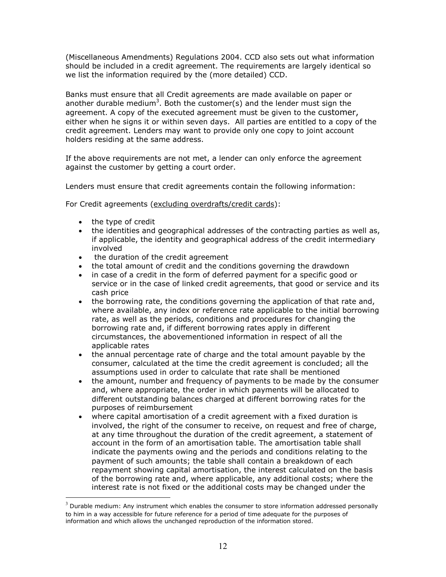(Miscellaneous Amendments) Regulations 2004. CCD also sets out what information should be included in a credit agreement. The requirements are largely identical so we list the information required by the (more detailed) CCD.

Banks must ensure that all Credit agreements are made available on paper or another durable medium<sup>3</sup>. Both the customer(s) and the lender must sign the agreement. A copy of the executed agreement must be given to the customer, either when he signs it or within seven days. All parties are entitled to a copy of the credit agreement. Lenders may want to provide only one copy to joint account holders residing at the same address.

If the above requirements are not met, a lender can only enforce the agreement against the customer by getting a court order.

Lenders must ensure that credit agreements contain the following information:

For Credit agreements (excluding overdrafts/credit cards):

• the type of credit

 $\overline{a}$ 

- the identities and geographical addresses of the contracting parties as well as, if applicable, the identity and geographical address of the credit intermediary involved
- the duration of the credit agreement
- the total amount of credit and the conditions governing the drawdown
- in case of a credit in the form of deferred payment for a specific good or service or in the case of linked credit agreements, that good or service and its cash price
- the borrowing rate, the conditions governing the application of that rate and, where available, any index or reference rate applicable to the initial borrowing rate, as well as the periods, conditions and procedures for changing the borrowing rate and, if different borrowing rates apply in different circumstances, the abovementioned information in respect of all the applicable rates
- the annual percentage rate of charge and the total amount payable by the consumer, calculated at the time the credit agreement is concluded; all the assumptions used in order to calculate that rate shall be mentioned
- the amount, number and frequency of payments to be made by the consumer and, where appropriate, the order in which payments will be allocated to different outstanding balances charged at different borrowing rates for the purposes of reimbursement
- where capital amortisation of a credit agreement with a fixed duration is involved, the right of the consumer to receive, on request and free of charge, at any time throughout the duration of the credit agreement, a statement of account in the form of an amortisation table. The amortisation table shall indicate the payments owing and the periods and conditions relating to the payment of such amounts; the table shall contain a breakdown of each repayment showing capital amortisation, the interest calculated on the basis of the borrowing rate and, where applicable, any additional costs; where the interest rate is not fixed or the additional costs may be changed under the

 $3$  Durable medium: Any instrument which enables the consumer to store information addressed personally to him in a way accessible for future reference for a period of time adequate for the purposes of information and which allows the unchanged reproduction of the information stored.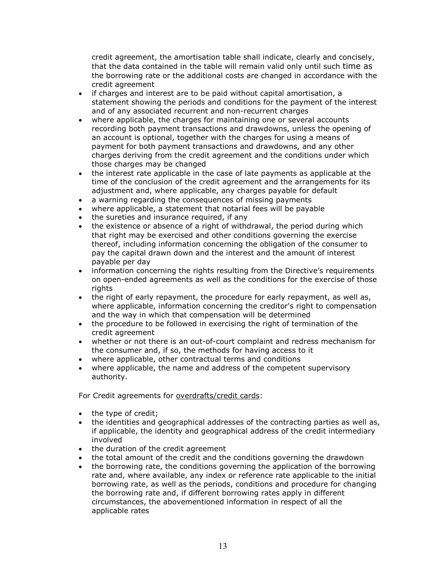credit agreement, the amortisation table shall indicate, clearly and concisely, that the data contained in the table will remain valid only until such time as the borrowing rate or the additional costs are changed in accordance with the credit agreement

- if charges and interest are to be paid without capital amortisation, a statement showing the periods and conditions for the payment of the interest and of any associated recurrent and non-recurrent charges
- where applicable, the charges for maintaining one or several accounts recording both payment transactions and drawdowns, unless the opening of an account is optional, together with the charges for using a means of payment for both payment transactions and drawdowns, and any other charges deriving from the credit agreement and the conditions under which those charges may be changed
- the interest rate applicable in the case of late payments as applicable at the time of the conclusion of the credit agreement and the arrangements for its adjustment and, where applicable, any charges payable for default
- a warning regarding the consequences of missing payments
- where applicable, a statement that notarial fees will be payable
- the sureties and insurance required, if any
- the existence or absence of a right of withdrawal, the period during which that right may be exercised and other conditions governing the exercise thereof, including information concerning the obligation of the consumer to pay the capital drawn down and the interest and the amount of interest payable per day
- information concerning the rights resulting from the Directive's requirements on open-ended agreements as well as the conditions for the exercise of those rights
- the right of early repayment, the procedure for early repayment, as well as, where applicable, information concerning the creditor's right to compensation and the way in which that compensation will be determined
- the procedure to be followed in exercising the right of termination of the credit agreement
- whether or not there is an out-of-court complaint and redress mechanism for the consumer and, if so, the methods for having access to it
- where applicable, other contractual terms and conditions
- where applicable, the name and address of the competent supervisory authority.

For Credit agreements for overdrafts/credit cards:

- the type of credit;
- the identities and geographical addresses of the contracting parties as well as, if applicable, the identity and geographical address of the credit intermediary involved
- the duration of the credit agreement
- the total amount of the credit and the conditions governing the drawdown
- the borrowing rate, the conditions governing the application of the borrowing rate and, where available, any index or reference rate applicable to the initial borrowing rate, as well as the periods, conditions and procedure for changing the borrowing rate and, if different borrowing rates apply in different circumstances, the abovementioned information in respect of all the applicable rates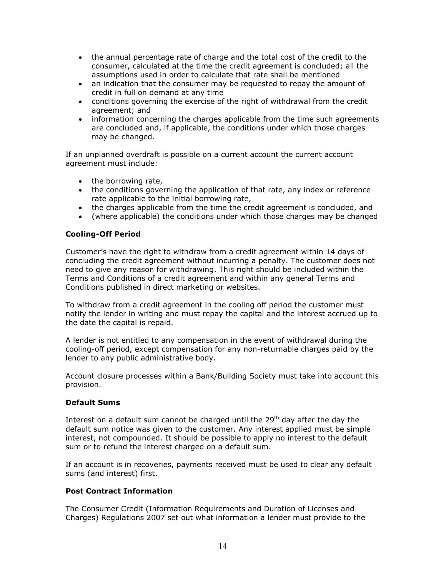- the annual percentage rate of charge and the total cost of the credit to the consumer, calculated at the time the credit agreement is concluded; all the assumptions used in order to calculate that rate shall be mentioned
- an indication that the consumer may be requested to repay the amount of credit in full on demand at any time
- conditions governing the exercise of the right of withdrawal from the credit agreement; and
- information concerning the charges applicable from the time such agreements are concluded and, if applicable, the conditions under which those charges may be changed.

If an unplanned overdraft is possible on a current account the current account agreement must include:

- the borrowing rate,
- the conditions governing the application of that rate, any index or reference rate applicable to the initial borrowing rate,
- the charges applicable from the time the credit agreement is concluded, and
- (where applicable) the conditions under which those charges may be changed

## **Cooling-Off Period**

Customer's have the right to withdraw from a credit agreement within 14 days of concluding the credit agreement without incurring a penalty. The customer does not need to give any reason for withdrawing. This right should be included within the Terms and Conditions of a credit agreement and within any general Terms and Conditions published in direct marketing or websites.

To withdraw from a credit agreement in the cooling off period the customer must notify the lender in writing and must repay the capital and the interest accrued up to the date the capital is repaid.

A lender is not entitled to any compensation in the event of withdrawal during the cooling-off period, except compensation for any non-returnable charges paid by the lender to any public administrative body.

Account closure processes within a Bank/Building Society must take into account this provision.

### **Default Sums**

Interest on a default sum cannot be charged until the  $29<sup>th</sup>$  day after the day the default sum notice was given to the customer. Any interest applied must be simple interest, not compounded. It should be possible to apply no interest to the default sum or to refund the interest charged on a default sum.

If an account is in recoveries, payments received must be used to clear any default sums (and interest) first.

## **Post Contract Information**

The Consumer Credit (Information Requirements and Duration of Licenses and Charges) Regulations 2007 set out what information a lender must provide to the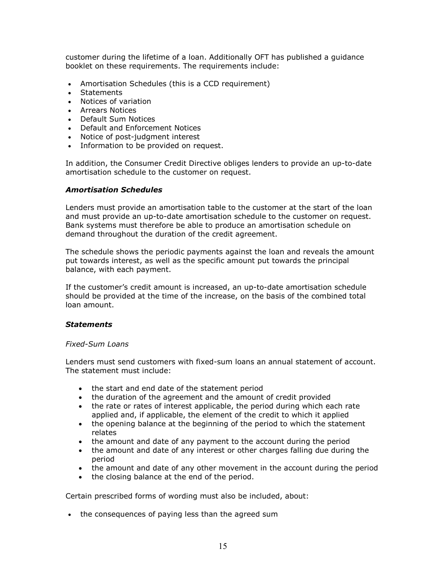customer during the lifetime of a loan. Additionally OFT has published a guidance booklet on these requirements. The requirements include:

- Amortisation Schedules (this is a CCD requirement)
- **Statements**
- Notices of variation
- Arrears Notices
- Default Sum Notices
- Default and Enforcement Notices
- Notice of post-judgment interest
- Information to be provided on request.

In addition, the Consumer Credit Directive obliges lenders to provide an up-to-date amortisation schedule to the customer on request.

### *Amortisation Schedules*

Lenders must provide an amortisation table to the customer at the start of the loan and must provide an up-to-date amortisation schedule to the customer on request. Bank systems must therefore be able to produce an amortisation schedule on demand throughout the duration of the credit agreement.

The schedule shows the periodic payments against the loan and reveals the amount put towards interest, as well as the specific amount put towards the principal balance, with each payment.

If the customer's credit amount is increased, an up-to-date amortisation schedule should be provided at the time of the increase, on the basis of the combined total loan amount.

### *Statements*

### *Fixed-Sum Loans*

Lenders must send customers with fixed-sum loans an annual statement of account. The statement must include:

- the start and end date of the statement period
- the duration of the agreement and the amount of credit provided
- the rate or rates of interest applicable, the period during which each rate applied and, if applicable, the element of the credit to which it applied
- the opening balance at the beginning of the period to which the statement relates
- the amount and date of any payment to the account during the period
- the amount and date of any interest or other charges falling due during the period
- the amount and date of any other movement in the account during the period
- the closing balance at the end of the period.

Certain prescribed forms of wording must also be included, about:

• the consequences of paying less than the agreed sum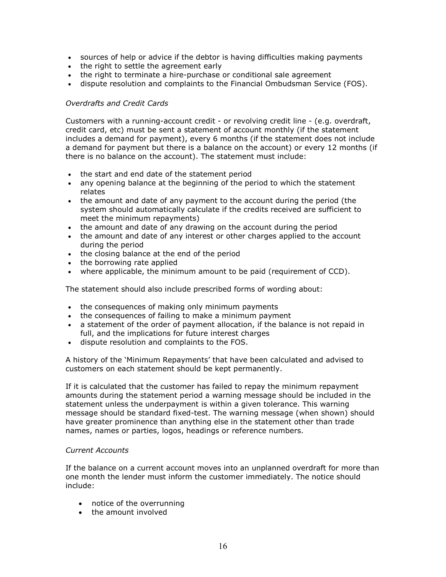- sources of help or advice if the debtor is having difficulties making payments
- the right to settle the agreement early
- the right to terminate a hire-purchase or conditional sale agreement
- dispute resolution and complaints to the Financial Ombudsman Service (FOS).

## *Overdrafts and Credit Cards*

Customers with a running-account credit - or revolving credit line - (e.g. overdraft, credit card, etc) must be sent a statement of account monthly (if the statement includes a demand for payment), every 6 months (if the statement does not include a demand for payment but there is a balance on the account) or every 12 months (if there is no balance on the account). The statement must include:

- the start and end date of the statement period
- any opening balance at the beginning of the period to which the statement relates
- the amount and date of any payment to the account during the period (the system should automatically calculate if the credits received are sufficient to meet the minimum repayments)
- the amount and date of any drawing on the account during the period
- the amount and date of any interest or other charges applied to the account during the period
- the closing balance at the end of the period
- the borrowing rate applied
- where applicable, the minimum amount to be paid (requirement of CCD).

The statement should also include prescribed forms of wording about:

- the consequences of making only minimum payments
- the consequences of failing to make a minimum payment
- a statement of the order of payment allocation, if the balance is not repaid in full, and the implications for future interest charges
- dispute resolution and complaints to the FOS.

A history of the 'Minimum Repayments' that have been calculated and advised to customers on each statement should be kept permanently.

If it is calculated that the customer has failed to repay the minimum repayment amounts during the statement period a warning message should be included in the statement unless the underpayment is within a given tolerance. This warning message should be standard fixed-test. The warning message (when shown) should have greater prominence than anything else in the statement other than trade names, names or parties, logos, headings or reference numbers.

### *Current Accounts*

If the balance on a current account moves into an unplanned overdraft for more than one month the lender must inform the customer immediately. The notice should include:

- notice of the overrunning
- the amount involved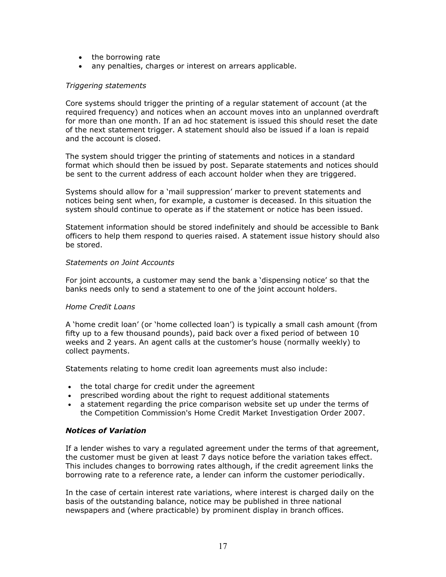- the borrowing rate
- any penalties, charges or interest on arrears applicable.

#### *Triggering statements*

Core systems should trigger the printing of a regular statement of account (at the required frequency) and notices when an account moves into an unplanned overdraft for more than one month. If an ad hoc statement is issued this should reset the date of the next statement trigger. A statement should also be issued if a loan is repaid and the account is closed.

The system should trigger the printing of statements and notices in a standard format which should then be issued by post. Separate statements and notices should be sent to the current address of each account holder when they are triggered.

Systems should allow for a 'mail suppression' marker to prevent statements and notices being sent when, for example, a customer is deceased. In this situation the system should continue to operate as if the statement or notice has been issued.

Statement information should be stored indefinitely and should be accessible to Bank officers to help them respond to queries raised. A statement issue history should also be stored.

#### *Statements on Joint Accounts*

For joint accounts, a customer may send the bank a 'dispensing notice' so that the banks needs only to send a statement to one of the joint account holders.

#### *Home Credit Loans*

A 'home credit loan' (or 'home collected loan') is typically a small cash amount (from fifty up to a few thousand pounds), paid back over a fixed period of between 10 weeks and 2 years. An agent calls at the customer's house (normally weekly) to collect payments.

Statements relating to home credit loan agreements must also include:

- the total charge for credit under the agreement
- prescribed wording about the right to request additional statements
- a statement regarding the price comparison website set up under the terms of the Competition Commission's Home Credit Market Investigation Order 2007.

### *Notices of Variation*

If a lender wishes to vary a regulated agreement under the terms of that agreement, the customer must be given at least 7 days notice before the variation takes effect. This includes changes to borrowing rates although, if the credit agreement links the borrowing rate to a reference rate, a lender can inform the customer periodically.

In the case of certain interest rate variations, where interest is charged daily on the basis of the outstanding balance, notice may be published in three national newspapers and (where practicable) by prominent display in branch offices.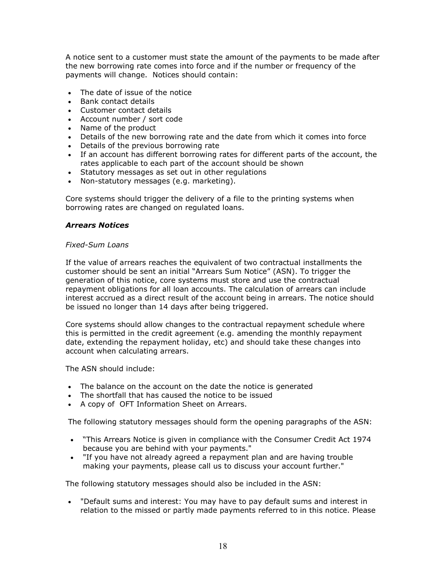A notice sent to a customer must state the amount of the payments to be made after the new borrowing rate comes into force and if the number or frequency of the payments will change. Notices should contain:

- The date of issue of the notice
- Bank contact details
- Customer contact details
- Account number / sort code
- Name of the product
- Details of the new borrowing rate and the date from which it comes into force
- Details of the previous borrowing rate
- If an account has different borrowing rates for different parts of the account, the rates applicable to each part of the account should be shown
- Statutory messages as set out in other regulations
- Non-statutory messages (e.g. marketing).

Core systems should trigger the delivery of a file to the printing systems when borrowing rates are changed on regulated loans.

### *Arrears Notices*

#### *Fixed-Sum Loans*

If the value of arrears reaches the equivalent of two contractual installments the customer should be sent an initial "Arrears Sum Notice" (ASN). To trigger the generation of this notice, core systems must store and use the contractual repayment obligations for all loan accounts. The calculation of arrears can include interest accrued as a direct result of the account being in arrears. The notice should be issued no longer than 14 days after being triggered.

Core systems should allow changes to the contractual repayment schedule where this is permitted in the credit agreement (e.g. amending the monthly repayment date, extending the repayment holiday, etc) and should take these changes into account when calculating arrears.

The ASN should include:

- The balance on the account on the date the notice is generated
- The shortfall that has caused the notice to be issued
- A copy of OFT Information Sheet on Arrears.

The following statutory messages should form the opening paragraphs of the ASN:

- "This Arrears Notice is given in compliance with the Consumer Credit Act 1974 because you are behind with your payments."
- "If you have not already agreed a repayment plan and are having trouble making your payments, please call us to discuss your account further."

The following statutory messages should also be included in the ASN:

• "Default sums and interest: You may have to pay default sums and interest in relation to the missed or partly made payments referred to in this notice. Please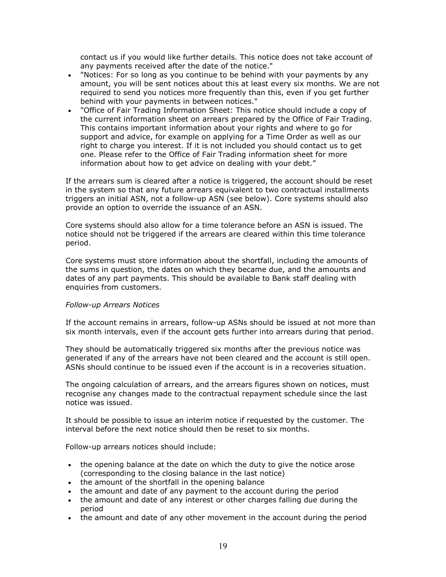contact us if you would like further details. This notice does not take account of any payments received after the date of the notice."

- "Notices: For so long as you continue to be behind with your payments by any amount, you will be sent notices about this at least every six months. We are not required to send you notices more frequently than this, even if you get further behind with your payments in between notices."
- "Office of Fair Trading Information Sheet: This notice should include a copy of the current information sheet on arrears prepared by the Office of Fair Trading. This contains important information about your rights and where to go for support and advice, for example on applying for a Time Order as well as our right to charge you interest. If it is not included you should contact us to get one. Please refer to the Office of Fair Trading information sheet for more information about how to get advice on dealing with your debt."

If the arrears sum is cleared after a notice is triggered, the account should be reset in the system so that any future arrears equivalent to two contractual installments triggers an initial ASN, not a follow-up ASN (see below). Core systems should also provide an option to override the issuance of an ASN.

Core systems should also allow for a time tolerance before an ASN is issued. The notice should not be triggered if the arrears are cleared within this time tolerance period.

Core systems must store information about the shortfall, including the amounts of the sums in question, the dates on which they became due, and the amounts and dates of any part payments. This should be available to Bank staff dealing with enquiries from customers.

### *Follow-up Arrears Notices*

If the account remains in arrears, follow-up ASNs should be issued at not more than six month intervals, even if the account gets further into arrears during that period.

They should be automatically triggered six months after the previous notice was generated if any of the arrears have not been cleared and the account is still open. ASNs should continue to be issued even if the account is in a recoveries situation.

The ongoing calculation of arrears, and the arrears figures shown on notices, must recognise any changes made to the contractual repayment schedule since the last notice was issued.

It should be possible to issue an interim notice if requested by the customer. The interval before the next notice should then be reset to six months.

Follow-up arrears notices should include:

- the opening balance at the date on which the duty to give the notice arose (corresponding to the closing balance in the last notice)
- the amount of the shortfall in the opening balance
- the amount and date of any payment to the account during the period
- the amount and date of any interest or other charges falling due during the period
- the amount and date of any other movement in the account during the period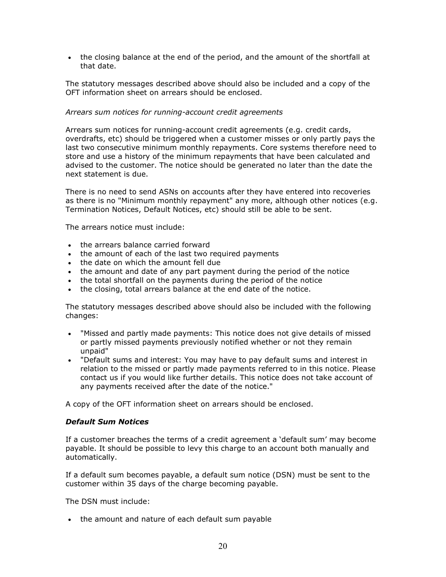• the closing balance at the end of the period, and the amount of the shortfall at that date.

The statutory messages described above should also be included and a copy of the OFT information sheet on arrears should be enclosed.

## *Arrears sum notices for running-account credit agreements*

Arrears sum notices for running-account credit agreements (e.g. credit cards, overdrafts, etc) should be triggered when a customer misses or only partly pays the last two consecutive minimum monthly repayments. Core systems therefore need to store and use a history of the minimum repayments that have been calculated and advised to the customer. The notice should be generated no later than the date the next statement is due.

There is no need to send ASNs on accounts after they have entered into recoveries as there is no "Minimum monthly repayment" any more, although other notices (e.g. Termination Notices, Default Notices, etc) should still be able to be sent.

The arrears notice must include:

- the arrears balance carried forward
- the amount of each of the last two required payments
- the date on which the amount fell due
- the amount and date of any part payment during the period of the notice
- the total shortfall on the payments during the period of the notice
- the closing, total arrears balance at the end date of the notice.

The statutory messages described above should also be included with the following changes:

- "Missed and partly made payments: This notice does not give details of missed or partly missed payments previously notified whether or not they remain unpaid"
- "Default sums and interest: You may have to pay default sums and interest in relation to the missed or partly made payments referred to in this notice. Please contact us if you would like further details. This notice does not take account of any payments received after the date of the notice."

A copy of the OFT information sheet on arrears should be enclosed.

### *Default Sum Notices*

If a customer breaches the terms of a credit agreement a 'default sum' may become payable. It should be possible to levy this charge to an account both manually and automatically.

If a default sum becomes payable, a default sum notice (DSN) must be sent to the customer within 35 days of the charge becoming payable.

The DSN must include:

• the amount and nature of each default sum payable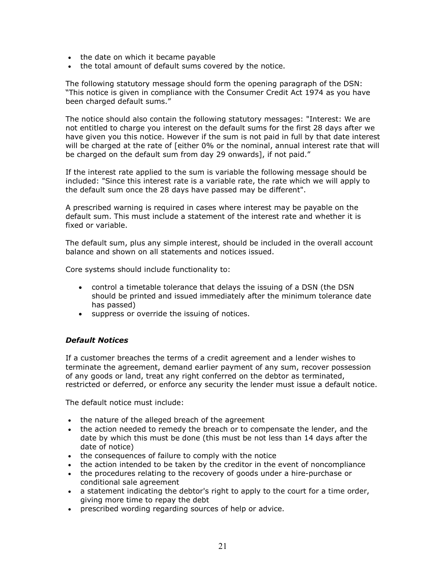- the date on which it became payable
- the total amount of default sums covered by the notice.

The following statutory message should form the opening paragraph of the DSN: "This notice is given in compliance with the Consumer Credit Act 1974 as you have been charged default sums."

The notice should also contain the following statutory messages: "Interest: We are not entitled to charge you interest on the default sums for the first 28 days after we have given you this notice. However if the sum is not paid in full by that date interest will be charged at the rate of [either 0% or the nominal, annual interest rate that will be charged on the default sum from day 29 onwards], if not paid."

If the interest rate applied to the sum is variable the following message should be included: "Since this interest rate is a variable rate, the rate which we will apply to the default sum once the 28 days have passed may be different".

A prescribed warning is required in cases where interest may be payable on the default sum. This must include a statement of the interest rate and whether it is fixed or variable.

The default sum, plus any simple interest, should be included in the overall account balance and shown on all statements and notices issued.

Core systems should include functionality to:

- control a timetable tolerance that delays the issuing of a DSN (the DSN should be printed and issued immediately after the minimum tolerance date has passed)
- suppress or override the issuing of notices.

## *Default Notices*

If a customer breaches the terms of a credit agreement and a lender wishes to terminate the agreement, demand earlier payment of any sum, recover possession of any goods or land, treat any right conferred on the debtor as terminated, restricted or deferred, or enforce any security the lender must issue a default notice.

The default notice must include:

- the nature of the alleged breach of the agreement
- the action needed to remedy the breach or to compensate the lender, and the date by which this must be done (this must be not less than 14 days after the date of notice)
- the consequences of failure to comply with the notice
- the action intended to be taken by the creditor in the event of noncompliance
- the procedures relating to the recovery of goods under a hire-purchase or conditional sale agreement
- a statement indicating the debtor's right to apply to the court for a time order, giving more time to repay the debt
- prescribed wording regarding sources of help or advice.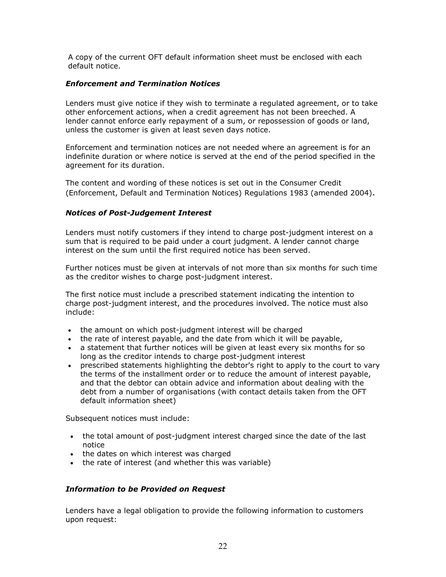A copy of the current [OFT default information sheet](http://www.oft.gov.uk/advice_and_resources/resource_base/legal/cca/CCA2006/information/) must be enclosed with each default notice.

## *Enforcement and Termination Notices*

Lenders must give notice if they wish to terminate a regulated agreement, or to take other enforcement actions, when a credit agreement has not been breeched. A lender cannot enforce early repayment of a sum, or repossession of goods or land, unless the customer is given at least seven days notice.

Enforcement and termination notices are not needed where an agreement is for an indefinite duration or where notice is served at the end of the period specified in the agreement for its duration.

The content and wording of these notices is set out in the Consumer Credit (Enforcement, Default and Termination Notices) Regulations 1983 (amended 2004).

## *Notices of Post-Judgement Interest*

Lenders must notify customers if they intend to charge post-judgment interest on a sum that is required to be paid under a court judgment. A lender cannot charge interest on the sum until the first required notice has been served.

Further notices must be given at intervals of not more than six months for such time as the creditor wishes to charge post-judgment interest.

The first notice must include a prescribed statement indicating the intention to charge post-judgment interest, and the procedures involved. The notice must also include:

- the amount on which post-judgment interest will be charged
- the rate of interest payable, and the date from which it will be payable,
- a statement that further notices will be given at least every six months for so long as the creditor intends to charge post-judgment interest
- prescribed statements highlighting the debtor's right to apply to the court to vary the terms of the installment order or to reduce the amount of interest payable, and that the debtor can obtain advice and information about dealing with the debt from a number of organisations (with contact details taken from the OFT default information sheet)

Subsequent notices must include:

- the total amount of post-judgment interest charged since the date of the last notice
- the dates on which interest was charged
- the rate of interest (and whether this was variable)

## *Information to be Provided on Request*

Lenders have a legal obligation to provide the following information to customers upon request: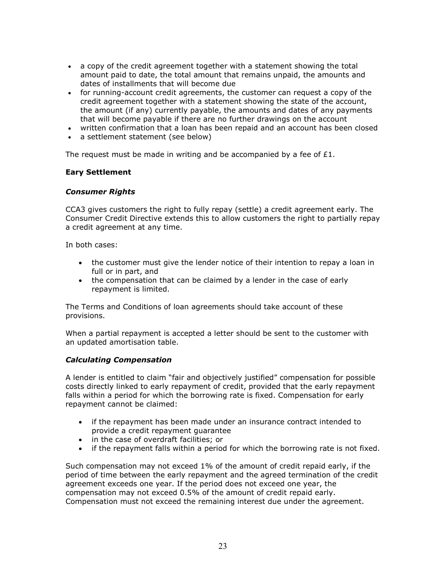- a copy of the credit agreement together with a statement showing the total amount paid to date, the total amount that remains unpaid, the amounts and dates of installments that will become due
- for running-account credit agreements, the customer can request a copy of the credit agreement together with a statement showing the state of the account, the amount (if any) currently payable, the amounts and dates of any payments that will become payable if there are no further drawings on the account
- written confirmation that a loan has been repaid and an account has been closed
- a settlement statement (see below)

The request must be made in writing and be accompanied by a fee of  $£1$ .

### **Eary Settlement**

### *Consumer Rights*

CCA3 gives customers the right to fully repay (settle) a credit agreement early. The Consumer Credit Directive extends this to allow customers the right to partially repay a credit agreement at any time.

In both cases:

- the customer must give the lender notice of their intention to repay a loan in full or in part, and
- the compensation that can be claimed by a lender in the case of early repayment is limited.

The Terms and Conditions of loan agreements should take account of these provisions.

When a partial repayment is accepted a letter should be sent to the customer with an updated amortisation table.

### *Calculating Compensation*

A lender is entitled to claim "fair and objectively justified" compensation for possible costs directly linked to early repayment of credit, provided that the early repayment falls within a period for which the borrowing rate is fixed. Compensation for early repayment cannot be claimed:

- if the repayment has been made under an insurance contract intended to provide a credit repayment guarantee
- in the case of overdraft facilities; or
- if the repayment falls within a period for which the borrowing rate is not fixed.

Such compensation may not exceed 1% of the amount of credit repaid early, if the period of time between the early repayment and the agreed termination of the credit agreement exceeds one year. If the period does not exceed one year, the compensation may not exceed 0.5% of the amount of credit repaid early. Compensation must not exceed the remaining interest due under the agreement.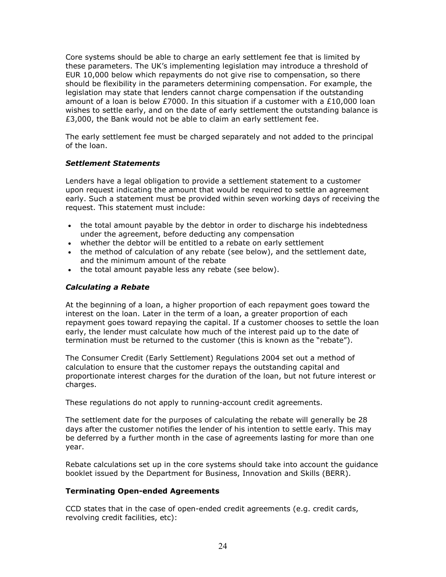Core systems should be able to charge an early settlement fee that is limited by these parameters. The UK's implementing legislation may introduce a threshold of EUR 10,000 below which repayments do not give rise to compensation, so there should be flexibility in the parameters determining compensation. For example, the legislation may state that lenders cannot charge compensation if the outstanding amount of a loan is below £7000. In this situation if a customer with a £10,000 loan wishes to settle early, and on the date of early settlement the outstanding balance is £3,000, the Bank would not be able to claim an early settlement fee.

The early settlement fee must be charged separately and not added to the principal of the loan.

### *Settlement Statements*

Lenders have a legal obligation to provide a settlement statement to a customer upon request indicating the amount that would be required to settle an agreement early. Such a statement must be provided within seven working days of receiving the request. This statement must include:

- the total amount payable by the debtor in order to discharge his indebtedness under the agreement, before deducting any compensation
- whether the debtor will be entitled to a rebate on early settlement
- the method of calculation of any rebate (see below), and the settlement date, and the minimum amount of the rebate
- the total amount payable less any rebate (see below).

## *Calculating a Rebate*

At the beginning of a loan, a higher proportion of each repayment goes toward the interest on the loan. Later in the term of a loan, a greater proportion of each repayment goes toward repaying the capital. If a customer chooses to settle the loan early, the lender must calculate how much of the interest paid up to the date of termination must be returned to the customer (this is known as the "rebate").

The Consumer Credit (Early Settlement) Regulations 2004 set out a method of calculation to ensure that the customer repays the outstanding capital and proportionate interest charges for the duration of the loan, but not future interest or charges.

These regulations do not apply to running-account credit agreements.

The settlement date for the purposes of calculating the rebate will generally be 28 days after the customer notifies the lender of his intention to settle early. This may be deferred by a further month in the case of agreements lasting for more than one year.

Rebate calculations set up in the core systems should take into account the guidance booklet issued by the Department for Business, Innovation and Skills (BERR).

### **Terminating Open-ended Agreements**

CCD states that in the case of open-ended credit agreements (e.g. credit cards, revolving credit facilities, etc):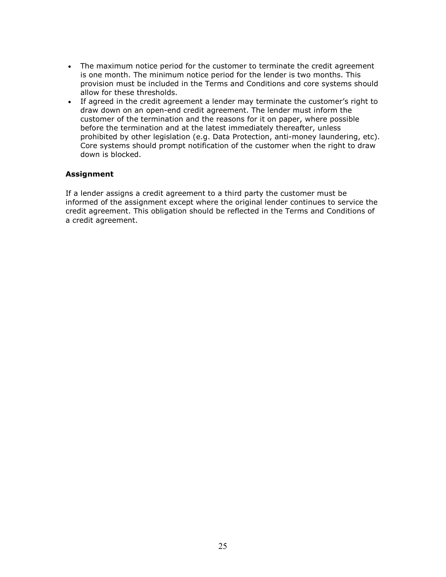- The maximum notice period for the customer to terminate the credit agreement is one month. The minimum notice period for the lender is two months. This provision must be included in the Terms and Conditions and core systems should allow for these thresholds.
- If agreed in the credit agreement a lender may terminate the customer's right to draw down on an open-end credit agreement. The lender must inform the customer of the termination and the reasons for it on paper, where possible before the termination and at the latest immediately thereafter, unless prohibited by other legislation (e.g. Data Protection, anti-money laundering, etc). Core systems should prompt notification of the customer when the right to draw down is blocked.

## **Assignment**

If a lender assigns a credit agreement to a third party the customer must be informed of the assignment except where the original lender continues to service the credit agreement. This obligation should be reflected in the Terms and Conditions of a credit agreement.